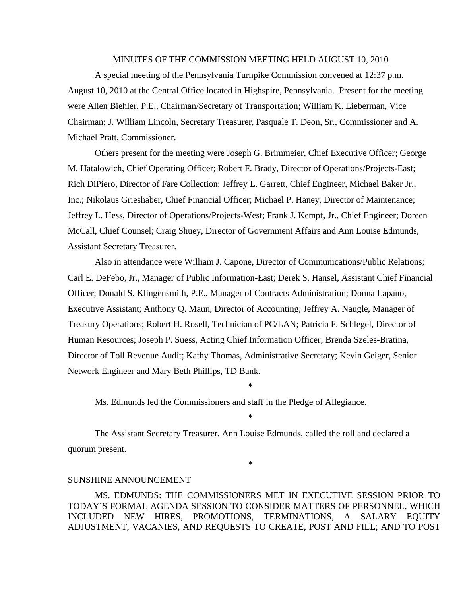#### MINUTES OF THE COMMISSION MEETING HELD AUGUST 10, 2010

 A special meeting of the Pennsylvania Turnpike Commission convened at 12:37 p.m. August 10, 2010 at the Central Office located in Highspire, Pennsylvania. Present for the meeting were Allen Biehler, P.E., Chairman/Secretary of Transportation; William K. Lieberman, Vice Chairman; J. William Lincoln, Secretary Treasurer, Pasquale T. Deon, Sr., Commissioner and A. Michael Pratt, Commissioner.

 Others present for the meeting were Joseph G. Brimmeier, Chief Executive Officer; George M. Hatalowich, Chief Operating Officer; Robert F. Brady, Director of Operations/Projects-East; Rich DiPiero, Director of Fare Collection; Jeffrey L. Garrett, Chief Engineer, Michael Baker Jr., Inc.; Nikolaus Grieshaber, Chief Financial Officer; Michael P. Haney, Director of Maintenance; Jeffrey L. Hess, Director of Operations/Projects-West; Frank J. Kempf, Jr., Chief Engineer; Doreen McCall, Chief Counsel; Craig Shuey, Director of Government Affairs and Ann Louise Edmunds, Assistant Secretary Treasurer.

 Also in attendance were William J. Capone, Director of Communications/Public Relations; Carl E. DeFebo, Jr., Manager of Public Information-East; Derek S. Hansel, Assistant Chief Financial Officer; Donald S. Klingensmith, P.E., Manager of Contracts Administration; Donna Lapano, Executive Assistant; Anthony Q. Maun, Director of Accounting; Jeffrey A. Naugle, Manager of Treasury Operations; Robert H. Rosell, Technician of PC/LAN; Patricia F. Schlegel, Director of Human Resources; Joseph P. Suess, Acting Chief Information Officer; Brenda Szeles-Bratina, Director of Toll Revenue Audit; Kathy Thomas, Administrative Secretary; Kevin Geiger, Senior Network Engineer and Mary Beth Phillips, TD Bank.

\*

\*

Ms. Edmunds led the Commissioners and staff in the Pledge of Allegiance.

 The Assistant Secretary Treasurer, Ann Louise Edmunds, called the roll and declared a quorum present.

\*

#### SUNSHINE ANNOUNCEMENT

MS. EDMUNDS: THE COMMISSIONERS MET IN EXECUTIVE SESSION PRIOR TO TODAY'S FORMAL AGENDA SESSION TO CONSIDER MATTERS OF PERSONNEL, WHICH INCLUDED NEW HIRES, PROMOTIONS, TERMINATIONS, A SALARY EQUITY ADJUSTMENT, VACANIES, AND REQUESTS TO CREATE, POST AND FILL; AND TO POST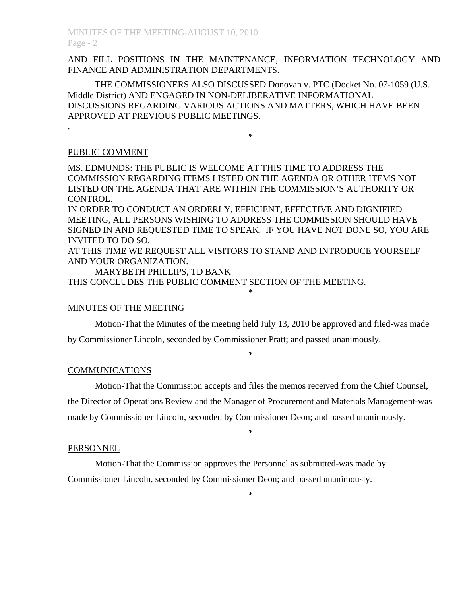AND FILL POSITIONS IN THE MAINTENANCE, INFORMATION TECHNOLOGY AND FINANCE AND ADMINISTRATION DEPARTMENTS.

THE COMMISSIONERS ALSO DISCUSSED Donovan v. PTC (Docket No. 07-1059 (U.S. Middle District) AND ENGAGED IN NON-DELIBERATIVE INFORMATIONAL DISCUSSIONS REGARDING VARIOUS ACTIONS AND MATTERS, WHICH HAVE BEEN APPROVED AT PREVIOUS PUBLIC MEETINGS.

#### \*

### PUBLIC COMMENT

.

MS. EDMUNDS: THE PUBLIC IS WELCOME AT THIS TIME TO ADDRESS THE COMMISSION REGARDING ITEMS LISTED ON THE AGENDA OR OTHER ITEMS NOT LISTED ON THE AGENDA THAT ARE WITHIN THE COMMISSION'S AUTHORITY OR CONTROL.

IN ORDER TO CONDUCT AN ORDERLY, EFFICIENT, EFFECTIVE AND DIGNIFIED MEETING, ALL PERSONS WISHING TO ADDRESS THE COMMISSION SHOULD HAVE SIGNED IN AND REQUESTED TIME TO SPEAK. IF YOU HAVE NOT DONE SO, YOU ARE INVITED TO DO SO.

AT THIS TIME WE REQUEST ALL VISITORS TO STAND AND INTRODUCE YOURSELF AND YOUR ORGANIZATION.

MARYBETH PHILLIPS, TD BANK

THIS CONCLUDES THE PUBLIC COMMENT SECTION OF THE MEETING.

### MINUTES OF THE MEETING

 Motion-That the Minutes of the meeting held July 13, 2010 be approved and filed-was made by Commissioner Lincoln, seconded by Commissioner Pratt; and passed unanimously.

\*

# \*

# COMMUNICATIONS

 Motion-That the Commission accepts and files the memos received from the Chief Counsel, the Director of Operations Review and the Manager of Procurement and Materials Management-was made by Commissioner Lincoln, seconded by Commissioner Deon; and passed unanimously.

\*

#### PERSONNEL

Motion-That the Commission approves the Personnel as submitted-was made by

Commissioner Lincoln, seconded by Commissioner Deon; and passed unanimously.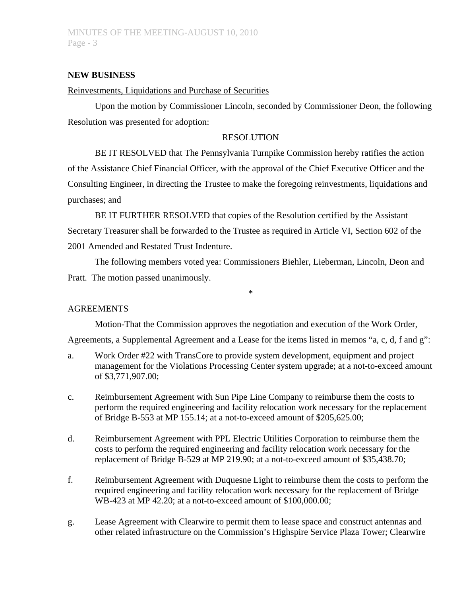## **NEW BUSINESS**

#### Reinvestments, Liquidations and Purchase of Securities

 Upon the motion by Commissioner Lincoln, seconded by Commissioner Deon, the following Resolution was presented for adoption:

#### RESOLUTION

 BE IT RESOLVED that The Pennsylvania Turnpike Commission hereby ratifies the action of the Assistance Chief Financial Officer, with the approval of the Chief Executive Officer and the Consulting Engineer, in directing the Trustee to make the foregoing reinvestments, liquidations and purchases; and

 BE IT FURTHER RESOLVED that copies of the Resolution certified by the Assistant Secretary Treasurer shall be forwarded to the Trustee as required in Article VI, Section 602 of the 2001 Amended and Restated Trust Indenture.

 The following members voted yea: Commissioners Biehler, Lieberman, Lincoln, Deon and Pratt. The motion passed unanimously.

\*

# AGREEMENTS

Motion-That the Commission approves the negotiation and execution of the Work Order,

Agreements, a Supplemental Agreement and a Lease for the items listed in memos "a, c, d, f and g":

- a. Work Order #22 with TransCore to provide system development, equipment and project management for the Violations Processing Center system upgrade; at a not-to-exceed amount of \$3,771,907.00;
- c. Reimbursement Agreement with Sun Pipe Line Company to reimburse them the costs to perform the required engineering and facility relocation work necessary for the replacement of Bridge B-553 at MP 155.14; at a not-to-exceed amount of \$205,625.00;
- d. Reimbursement Agreement with PPL Electric Utilities Corporation to reimburse them the costs to perform the required engineering and facility relocation work necessary for the replacement of Bridge B-529 at MP 219.90; at a not-to-exceed amount of \$35,438.70;
- f. Reimbursement Agreement with Duquesne Light to reimburse them the costs to perform the required engineering and facility relocation work necessary for the replacement of Bridge WB-423 at MP 42.20; at a not-to-exceed amount of \$100,000.00;
- g. Lease Agreement with Clearwire to permit them to lease space and construct antennas and other related infrastructure on the Commission's Highspire Service Plaza Tower; Clearwire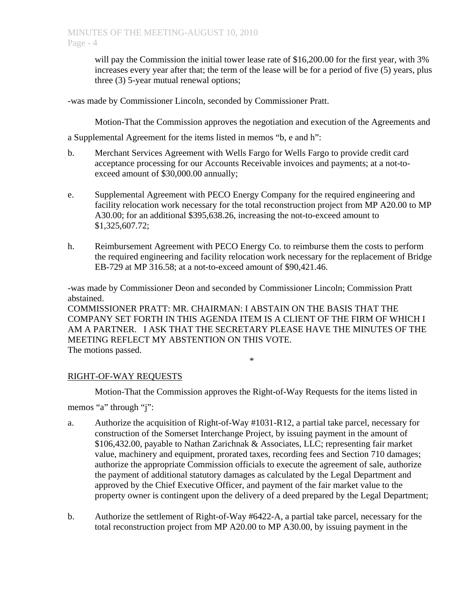will pay the Commission the initial tower lease rate of \$16,200.00 for the first year, with 3% increases every year after that; the term of the lease will be for a period of five (5) years, plus three (3) 5-year mutual renewal options;

-was made by Commissioner Lincoln, seconded by Commissioner Pratt.

Motion-That the Commission approves the negotiation and execution of the Agreements and

a Supplemental Agreement for the items listed in memos "b, e and h":

- b. Merchant Services Agreement with Wells Fargo for Wells Fargo to provide credit card acceptance processing for our Accounts Receivable invoices and payments; at a not-toexceed amount of \$30,000.00 annually;
- e. Supplemental Agreement with PECO Energy Company for the required engineering and facility relocation work necessary for the total reconstruction project from MP A20.00 to MP A30.00; for an additional \$395,638.26, increasing the not-to-exceed amount to \$1,325,607.72;
- h. Reimbursement Agreement with PECO Energy Co. to reimburse them the costs to perform the required engineering and facility relocation work necessary for the replacement of Bridge EB-729 at MP 316.58; at a not-to-exceed amount of \$90,421.46.

-was made by Commissioner Deon and seconded by Commissioner Lincoln; Commission Pratt abstained.

COMMISSIONER PRATT: MR. CHAIRMAN: I ABSTAIN ON THE BASIS THAT THE COMPANY SET FORTH IN THIS AGENDA ITEM IS A CLIENT OF THE FIRM OF WHICH I AM A PARTNER. I ASK THAT THE SECRETARY PLEASE HAVE THE MINUTES OF THE MEETING REFLECT MY ABSTENTION ON THIS VOTE. The motions passed.

\*

# RIGHT-OF-WAY REQUESTS

Motion-That the Commission approves the Right-of-Way Requests for the items listed in

memos "a" through "j":

- a. Authorize the acquisition of Right-of-Way #1031-R12, a partial take parcel, necessary for construction of the Somerset Interchange Project, by issuing payment in the amount of \$106,432.00, payable to Nathan Zarichnak & Associates, LLC; representing fair market value, machinery and equipment, prorated taxes, recording fees and Section 710 damages; authorize the appropriate Commission officials to execute the agreement of sale, authorize the payment of additional statutory damages as calculated by the Legal Department and approved by the Chief Executive Officer, and payment of the fair market value to the property owner is contingent upon the delivery of a deed prepared by the Legal Department;
- b. Authorize the settlement of Right-of-Way #6422-A, a partial take parcel, necessary for the total reconstruction project from MP A20.00 to MP A30.00, by issuing payment in the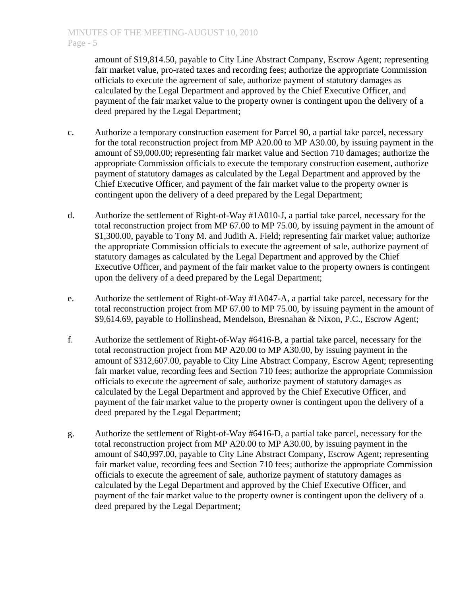amount of \$19,814.50, payable to City Line Abstract Company, Escrow Agent; representing fair market value, pro-rated taxes and recording fees; authorize the appropriate Commission officials to execute the agreement of sale, authorize payment of statutory damages as calculated by the Legal Department and approved by the Chief Executive Officer, and payment of the fair market value to the property owner is contingent upon the delivery of a deed prepared by the Legal Department;

- c. Authorize a temporary construction easement for Parcel 90, a partial take parcel, necessary for the total reconstruction project from MP A20.00 to MP A30.00, by issuing payment in the amount of \$9,000.00; representing fair market value and Section 710 damages; authorize the appropriate Commission officials to execute the temporary construction easement, authorize payment of statutory damages as calculated by the Legal Department and approved by the Chief Executive Officer, and payment of the fair market value to the property owner is contingent upon the delivery of a deed prepared by the Legal Department;
- d. Authorize the settlement of Right-of-Way #1A010-J, a partial take parcel, necessary for the total reconstruction project from MP 67.00 to MP 75.00, by issuing payment in the amount of \$1,300.00, payable to Tony M. and Judith A. Field; representing fair market value; authorize the appropriate Commission officials to execute the agreement of sale, authorize payment of statutory damages as calculated by the Legal Department and approved by the Chief Executive Officer, and payment of the fair market value to the property owners is contingent upon the delivery of a deed prepared by the Legal Department;
- e. Authorize the settlement of Right-of-Way #1A047-A, a partial take parcel, necessary for the total reconstruction project from MP 67.00 to MP 75.00, by issuing payment in the amount of \$9,614.69, payable to Hollinshead, Mendelson, Bresnahan & Nixon, P.C., Escrow Agent;
- f. Authorize the settlement of Right-of-Way #6416-B, a partial take parcel, necessary for the total reconstruction project from MP A20.00 to MP A30.00, by issuing payment in the amount of \$312,607.00, payable to City Line Abstract Company, Escrow Agent; representing fair market value, recording fees and Section 710 fees; authorize the appropriate Commission officials to execute the agreement of sale, authorize payment of statutory damages as calculated by the Legal Department and approved by the Chief Executive Officer, and payment of the fair market value to the property owner is contingent upon the delivery of a deed prepared by the Legal Department;
- g. Authorize the settlement of Right-of-Way #6416-D, a partial take parcel, necessary for the total reconstruction project from MP A20.00 to MP A30.00, by issuing payment in the amount of \$40,997.00, payable to City Line Abstract Company, Escrow Agent; representing fair market value, recording fees and Section 710 fees; authorize the appropriate Commission officials to execute the agreement of sale, authorize payment of statutory damages as calculated by the Legal Department and approved by the Chief Executive Officer, and payment of the fair market value to the property owner is contingent upon the delivery of a deed prepared by the Legal Department;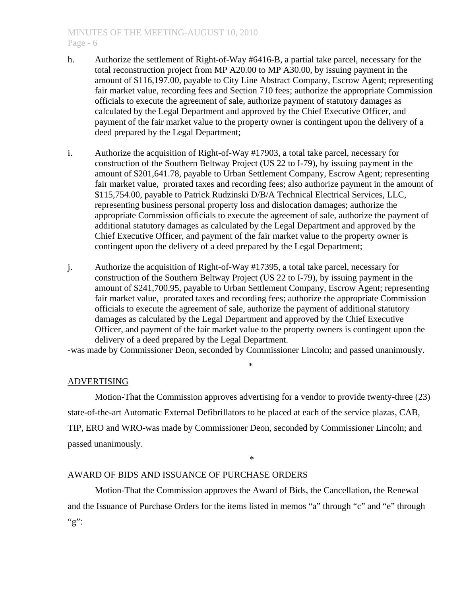# MINUTES OF THE MEETING-AUGUST 10, 2010 Page - 6

- h. Authorize the settlement of Right-of-Way #6416-B, a partial take parcel, necessary for the total reconstruction project from MP A20.00 to MP A30.00, by issuing payment in the amount of \$116,197.00, payable to City Line Abstract Company, Escrow Agent; representing fair market value, recording fees and Section 710 fees; authorize the appropriate Commission officials to execute the agreement of sale, authorize payment of statutory damages as calculated by the Legal Department and approved by the Chief Executive Officer, and payment of the fair market value to the property owner is contingent upon the delivery of a deed prepared by the Legal Department;
- i. Authorize the acquisition of Right-of-Way #17903, a total take parcel, necessary for construction of the Southern Beltway Project (US 22 to I-79), by issuing payment in the amount of \$201,641.78, payable to Urban Settlement Company, Escrow Agent; representing fair market value, prorated taxes and recording fees; also authorize payment in the amount of \$115,754.00, payable to Patrick Rudzinski D/B/A Technical Electrical Services, LLC, representing business personal property loss and dislocation damages; authorize the appropriate Commission officials to execute the agreement of sale, authorize the payment of additional statutory damages as calculated by the Legal Department and approved by the Chief Executive Officer, and payment of the fair market value to the property owner is contingent upon the delivery of a deed prepared by the Legal Department;
- j. Authorize the acquisition of Right-of-Way #17395, a total take parcel, necessary for construction of the Southern Beltway Project (US 22 to I-79), by issuing payment in the amount of \$241,700.95, payable to Urban Settlement Company, Escrow Agent; representing fair market value, prorated taxes and recording fees; authorize the appropriate Commission officials to execute the agreement of sale, authorize the payment of additional statutory damages as calculated by the Legal Department and approved by the Chief Executive Officer, and payment of the fair market value to the property owners is contingent upon the delivery of a deed prepared by the Legal Department.

-was made by Commissioner Deon, seconded by Commissioner Lincoln; and passed unanimously.

#### \*

# ADVERTISING

 Motion-That the Commission approves advertising for a vendor to provide twenty-three (23) state-of-the-art Automatic External Defibrillators to be placed at each of the service plazas, CAB, TIP, ERO and WRO-was made by Commissioner Deon, seconded by Commissioner Lincoln; and passed unanimously.

#### \*

# AWARD OF BIDS AND ISSUANCE OF PURCHASE ORDERS

Motion-That the Commission approves the Award of Bids, the Cancellation, the Renewal and the Issuance of Purchase Orders for the items listed in memos "a" through "c" and "e" through "g":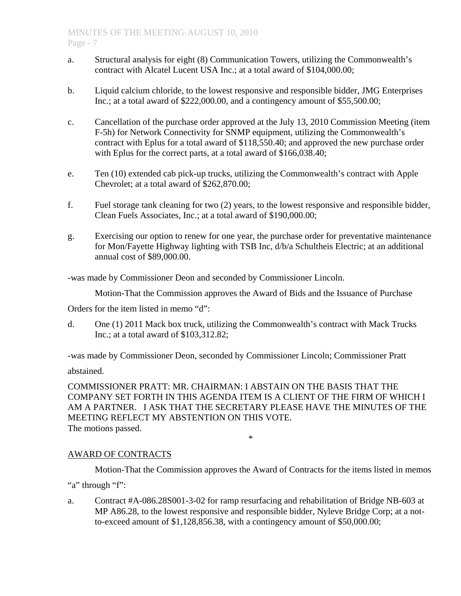- a. Structural analysis for eight (8) Communication Towers, utilizing the Commonwealth's contract with Alcatel Lucent USA Inc.; at a total award of \$104,000.00;
- b. Liquid calcium chloride, to the lowest responsive and responsible bidder, JMG Enterprises Inc.; at a total award of \$222,000.00, and a contingency amount of \$55,500.00;
- c. Cancellation of the purchase order approved at the July 13, 2010 Commission Meeting (item F-5h) for Network Connectivity for SNMP equipment, utilizing the Commonwealth's contract with Eplus for a total award of \$118,550.40; and approved the new purchase order with Eplus for the correct parts, at a total award of \$166,038.40;
- e. Ten (10) extended cab pick-up trucks, utilizing the Commonwealth's contract with Apple Chevrolet; at a total award of \$262,870.00;
- f. Fuel storage tank cleaning for two (2) years, to the lowest responsive and responsible bidder, Clean Fuels Associates, Inc.; at a total award of \$190,000.00;
- g. Exercising our option to renew for one year, the purchase order for preventative maintenance for Mon/Fayette Highway lighting with TSB Inc, d/b/a Schultheis Electric; at an additional annual cost of \$89,000.00.

-was made by Commissioner Deon and seconded by Commissioner Lincoln.

Motion-That the Commission approves the Award of Bids and the Issuance of Purchase

Orders for the item listed in memo "d":

d. One (1) 2011 Mack box truck, utilizing the Commonwealth's contract with Mack Trucks Inc.; at a total award of \$103,312.82;

-was made by Commissioner Deon, seconded by Commissioner Lincoln; Commissioner Pratt

abstained.

COMMISSIONER PRATT: MR. CHAIRMAN: I ABSTAIN ON THE BASIS THAT THE COMPANY SET FORTH IN THIS AGENDA ITEM IS A CLIENT OF THE FIRM OF WHICH I AM A PARTNER. I ASK THAT THE SECRETARY PLEASE HAVE THE MINUTES OF THE MEETING REFLECT MY ABSTENTION ON THIS VOTE. The motions passed.

\*

# AWARD OF CONTRACTS

Motion-That the Commission approves the Award of Contracts for the items listed in memos

"a" through "f":

a. Contract #A-086.28S001-3-02 for ramp resurfacing and rehabilitation of Bridge NB-603 at MP A86.28, to the lowest responsive and responsible bidder, Nyleve Bridge Corp; at a notto-exceed amount of \$1,128,856.38, with a contingency amount of \$50,000.00;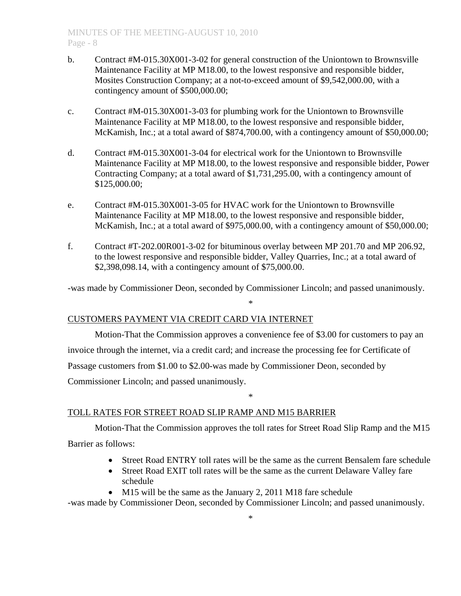- b. Contract #M-015.30X001-3-02 for general construction of the Uniontown to Brownsville Maintenance Facility at MP M18.00, to the lowest responsive and responsible bidder, Mosites Construction Company; at a not-to-exceed amount of \$9,542,000.00, with a contingency amount of \$500,000.00;
- c. Contract #M-015.30X001-3-03 for plumbing work for the Uniontown to Brownsville Maintenance Facility at MP M18.00, to the lowest responsive and responsible bidder, McKamish, Inc.; at a total award of \$874,700.00, with a contingency amount of \$50,000.00;
- d. Contract #M-015.30X001-3-04 for electrical work for the Uniontown to Brownsville Maintenance Facility at MP M18.00, to the lowest responsive and responsible bidder, Power Contracting Company; at a total award of \$1,731,295.00, with a contingency amount of \$125,000.00;
- e. Contract #M-015.30X001-3-05 for HVAC work for the Uniontown to Brownsville Maintenance Facility at MP M18.00, to the lowest responsive and responsible bidder, McKamish, Inc.; at a total award of \$975,000.00, with a contingency amount of \$50,000.00;
- f. Contract #T-202.00R001-3-02 for bituminous overlay between MP 201.70 and MP 206.92, to the lowest responsive and responsible bidder, Valley Quarries, Inc.; at a total award of \$2,398,098.14, with a contingency amount of \$75,000.00.

-was made by Commissioner Deon, seconded by Commissioner Lincoln; and passed unanimously.

\*

# CUSTOMERS PAYMENT VIA CREDIT CARD VIA INTERNET

 Motion-That the Commission approves a convenience fee of \$3.00 for customers to pay an invoice through the internet, via a credit card; and increase the processing fee for Certificate of Passage customers from \$1.00 to \$2.00-was made by Commissioner Deon, seconded by

Commissioner Lincoln; and passed unanimously.

# TOLL RATES FOR STREET ROAD SLIP RAMP AND M15 BARRIER

 Motion-That the Commission approves the toll rates for Street Road Slip Ramp and the M15 Barrier as follows:

\*

- Street Road ENTRY toll rates will be the same as the current Bensalem fare schedule
- Street Road EXIT toll rates will be the same as the current Delaware Valley fare schedule
- M15 will be the same as the January 2, 2011 M18 fare schedule

-was made by Commissioner Deon, seconded by Commissioner Lincoln; and passed unanimously.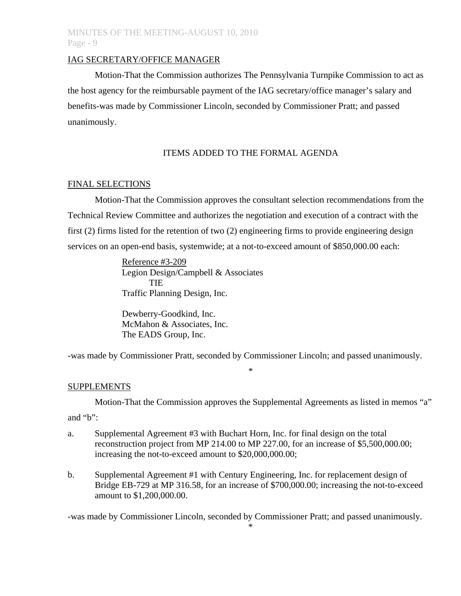## MINUTES OF THE MEETING-AUGUST 10, 2010 Page - 9

#### IAG SECRETARY/OFFICE MANAGER

 Motion-That the Commission authorizes The Pennsylvania Turnpike Commission to act as the host agency for the reimbursable payment of the IAG secretary/office manager's salary and benefits-was made by Commissioner Lincoln, seconded by Commissioner Pratt; and passed unanimously.

#### ITEMS ADDED TO THE FORMAL AGENDA

#### FINAL SELECTIONS

Motion-That the Commission approves the consultant selection recommendations from the Technical Review Committee and authorizes the negotiation and execution of a contract with the first (2) firms listed for the retention of two (2) engineering firms to provide engineering design services on an open-end basis, systemwide; at a not-to-exceed amount of \$850,000.00 each:

> Reference #3-209 Legion Design/Campbell & Associates TIE Traffic Planning Design, Inc.

 Dewberry-Goodkind, Inc. McMahon & Associates, Inc. The EADS Group, Inc.

-was made by Commissioner Pratt, seconded by Commissioner Lincoln; and passed unanimously.

\*

#### SUPPLEMENTS

 Motion-That the Commission approves the Supplemental Agreements as listed in memos "a" and "b":

- a. Supplemental Agreement #3 with Buchart Horn, Inc. for final design on the total reconstruction project from MP 214.00 to MP 227.00, for an increase of \$5,500,000.00; increasing the not-to-exceed amount to \$20,000,000.00;
- b. Supplemental Agreement #1 with Century Engineering, Inc. for replacement design of Bridge EB-729 at MP 316.58, for an increase of \$700,000.00; increasing the not-to-exceed amount to \$1,200,000.00.

-was made by Commissioner Lincoln, seconded by Commissioner Pratt; and passed unanimously.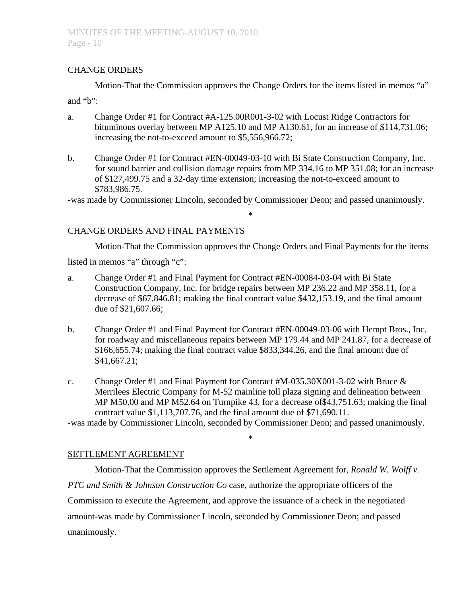## CHANGE ORDERS

 Motion-That the Commission approves the Change Orders for the items listed in memos "a" and " $b$ ":

- a. Change Order #1 for Contract #A-125.00R001-3-02 with Locust Ridge Contractors for bituminous overlay between MP A125.10 and MP A130.61, for an increase of \$114,731.06; increasing the not-to-exceed amount to \$5,556,966.72;
- b. Change Order #1 for Contract #EN-00049-03-10 with Bi State Construction Company, Inc. for sound barrier and collision damage repairs from MP 334.16 to MP 351.08; for an increase of \$127,499.75 and a 32-day time extension; increasing the not-to-exceed amount to \$783,986.75.

-was made by Commissioner Lincoln, seconded by Commissioner Deon; and passed unanimously.

\*

## CHANGE ORDERS AND FINAL PAYMENTS

Motion-That the Commission approves the Change Orders and Final Payments for the items

listed in memos "a" through "c":

- a. Change Order #1 and Final Payment for Contract #EN-00084-03-04 with Bi State Construction Company, Inc. for bridge repairs between MP 236.22 and MP 358.11, for a decrease of \$67,846.81; making the final contract value \$432,153.19, and the final amount due of \$21,607.66;
- b. Change Order #1 and Final Payment for Contract #EN-00049-03-06 with Hempt Bros., Inc. for roadway and miscellaneous repairs between MP 179.44 and MP 241.87, for a decrease of \$166,655.74; making the final contract value \$833,344.26, and the final amount due of \$41,667.21;
- c. Change Order #1 and Final Payment for Contract #M-035.30X001-3-02 with Bruce & Merrilees Electric Company for M-52 mainline toll plaza signing and delineation between MP M50.00 and MP M52.64 on Turnpike 43, for a decrease of\$43,751.63; making the final contract value \$1,113,707.76, and the final amount due of \$71,690.11.

-was made by Commissioner Lincoln, seconded by Commissioner Deon; and passed unanimously.

\*

# SETTLEMENT AGREEMENT

Motion-That the Commission approves the Settlement Agreement for, *Ronald W. Wolff v. PTC and Smith & Johnson Construction Co* case*,* authorize the appropriate officers of the Commission to execute the Agreement, and approve the issuance of a check in the negotiated amount-was made by Commissioner Lincoln, seconded by Commissioner Deon; and passed unanimously.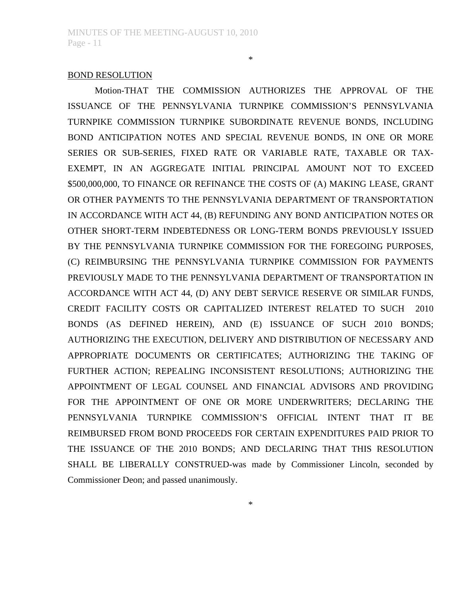#### BOND RESOLUTION

Motion-THAT THE COMMISSION AUTHORIZES THE APPROVAL OF THE ISSUANCE OF THE PENNSYLVANIA TURNPIKE COMMISSION'S PENNSYLVANIA TURNPIKE COMMISSION TURNPIKE SUBORDINATE REVENUE BONDS, INCLUDING BOND ANTICIPATION NOTES AND SPECIAL REVENUE BONDS, IN ONE OR MORE SERIES OR SUB-SERIES, FIXED RATE OR VARIABLE RATE, TAXABLE OR TAX-EXEMPT, IN AN AGGREGATE INITIAL PRINCIPAL AMOUNT NOT TO EXCEED \$500,000,000, TO FINANCE OR REFINANCE THE COSTS OF (A) MAKING LEASE, GRANT OR OTHER PAYMENTS TO THE PENNSYLVANIA DEPARTMENT OF TRANSPORTATION IN ACCORDANCE WITH ACT 44, (B) REFUNDING ANY BOND ANTICIPATION NOTES OR OTHER SHORT-TERM INDEBTEDNESS OR LONG-TERM BONDS PREVIOUSLY ISSUED BY THE PENNSYLVANIA TURNPIKE COMMISSION FOR THE FOREGOING PURPOSES, (C) REIMBURSING THE PENNSYLVANIA TURNPIKE COMMISSION FOR PAYMENTS PREVIOUSLY MADE TO THE PENNSYLVANIA DEPARTMENT OF TRANSPORTATION IN ACCORDANCE WITH ACT 44, (D) ANY DEBT SERVICE RESERVE OR SIMILAR FUNDS, CREDIT FACILITY COSTS OR CAPITALIZED INTEREST RELATED TO SUCH 2010 BONDS (AS DEFINED HEREIN), AND (E) ISSUANCE OF SUCH 2010 BONDS; AUTHORIZING THE EXECUTION, DELIVERY AND DISTRIBUTION OF NECESSARY AND APPROPRIATE DOCUMENTS OR CERTIFICATES; AUTHORIZING THE TAKING OF FURTHER ACTION; REPEALING INCONSISTENT RESOLUTIONS; AUTHORIZING THE APPOINTMENT OF LEGAL COUNSEL AND FINANCIAL ADVISORS AND PROVIDING FOR THE APPOINTMENT OF ONE OR MORE UNDERWRITERS; DECLARING THE PENNSYLVANIA TURNPIKE COMMISSION'S OFFICIAL INTENT THAT IT BE REIMBURSED FROM BOND PROCEEDS FOR CERTAIN EXPENDITURES PAID PRIOR TO THE ISSUANCE OF THE 2010 BONDS; AND DECLARING THAT THIS RESOLUTION SHALL BE LIBERALLY CONSTRUED-was made by Commissioner Lincoln, seconded by Commissioner Deon; and passed unanimously.

\*

\*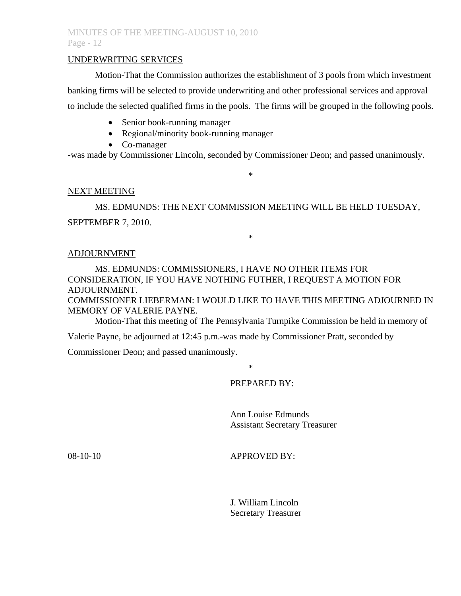# MINUTES OF THE MEETING-AUGUST 10, 2010 Page - 12

#### UNDERWRITING SERVICES

 Motion-That the Commission authorizes the establishment of 3 pools from which investment banking firms will be selected to provide underwriting and other professional services and approval to include the selected qualified firms in the pools. The firms will be grouped in the following pools.

- Senior book-running manager
- Regional/minority book-running manager
- Co-manager

-was made by Commissioner Lincoln, seconded by Commissioner Deon; and passed unanimously.

\*

#### NEXT MEETING

 MS. EDMUNDS: THE NEXT COMMISSION MEETING WILL BE HELD TUESDAY, SEPTEMBER 7, 2010.

\*

#### ADJOURNMENT

 MS. EDMUNDS: COMMISSIONERS, I HAVE NO OTHER ITEMS FOR CONSIDERATION, IF YOU HAVE NOTHING FUTHER, I REQUEST A MOTION FOR ADJOURNMENT.

COMMISSIONER LIEBERMAN: I WOULD LIKE TO HAVE THIS MEETING ADJOURNED IN MEMORY OF VALERIE PAYNE.

Motion-That this meeting of The Pennsylvania Turnpike Commission be held in memory of

Valerie Payne, be adjourned at 12:45 p.m.-was made by Commissioner Pratt, seconded by

Commissioner Deon; and passed unanimously.

\*

# PREPARED BY:

 Ann Louise Edmunds Assistant Secretary Treasurer

08-10-10 **APPROVED BY:** 

 J. William Lincoln Secretary Treasurer